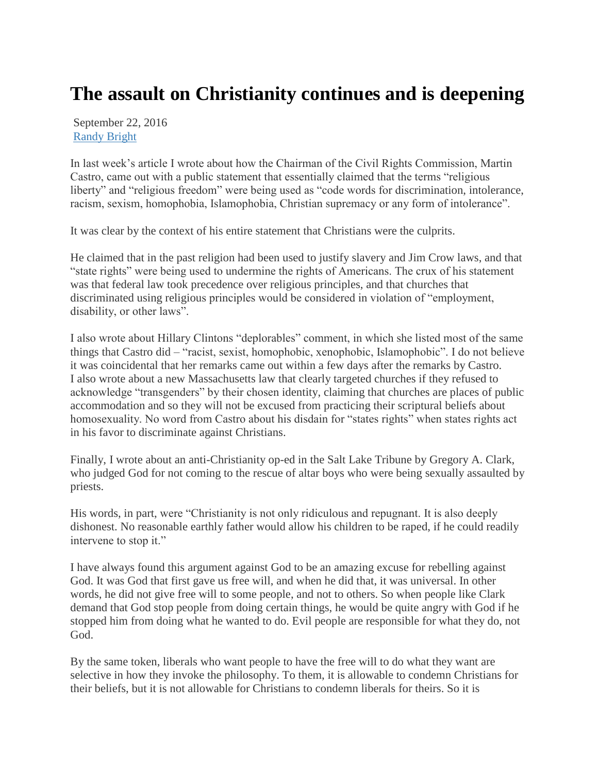## **The assault on Christianity continues and is deepening**

September 22, 2016 [Randy Bright](http://tulsabeacon.com/author/randy-bright/)

In last week's article I wrote about how the Chairman of the Civil Rights Commission, Martin Castro, came out with a public statement that essentially claimed that the terms "religious liberty" and "religious freedom" were being used as "code words for discrimination, intolerance, racism, sexism, homophobia, Islamophobia, Christian supremacy or any form of intolerance".

It was clear by the context of his entire statement that Christians were the culprits.

He claimed that in the past religion had been used to justify slavery and Jim Crow laws, and that "state rights" were being used to undermine the rights of Americans. The crux of his statement was that federal law took precedence over religious principles, and that churches that discriminated using religious principles would be considered in violation of "employment, disability, or other laws".

I also wrote about Hillary Clintons "deplorables" comment, in which she listed most of the same things that Castro did – "racist, sexist, homophobic, xenophobic, Islamophobic". I do not believe it was coincidental that her remarks came out within a few days after the remarks by Castro. I also wrote about a new Massachusetts law that clearly targeted churches if they refused to acknowledge "transgenders" by their chosen identity, claiming that churches are places of public accommodation and so they will not be excused from practicing their scriptural beliefs about homosexuality. No word from Castro about his disdain for "states rights" when states rights act in his favor to discriminate against Christians.

Finally, I wrote about an anti-Christianity op-ed in the Salt Lake Tribune by Gregory A. Clark, who judged God for not coming to the rescue of altar boys who were being sexually assaulted by priests.

His words, in part, were "Christianity is not only ridiculous and repugnant. It is also deeply dishonest. No reasonable earthly father would allow his children to be raped, if he could readily intervene to stop it."

I have always found this argument against God to be an amazing excuse for rebelling against God. It was God that first gave us free will, and when he did that, it was universal. In other words, he did not give free will to some people, and not to others. So when people like Clark demand that God stop people from doing certain things, he would be quite angry with God if he stopped him from doing what he wanted to do. Evil people are responsible for what they do, not God.

By the same token, liberals who want people to have the free will to do what they want are selective in how they invoke the philosophy. To them, it is allowable to condemn Christians for their beliefs, but it is not allowable for Christians to condemn liberals for theirs. So it is